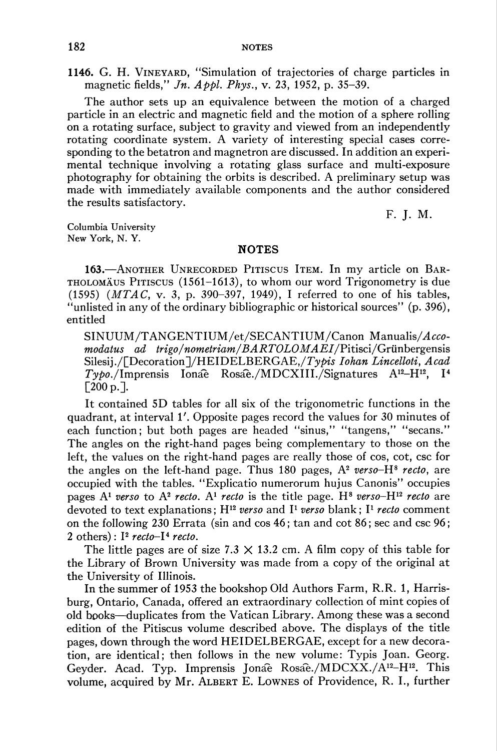1146. G. H. Vineyard, "Simulation of trajectories of charge particles in magnetic fields,"  $Jn.$  Appl. Phys., v. 23, 1952, p. 35-39.

The author sets up an equivalence between the motion of a charged particle in an electric and magnetic field and the motion of a sphere rolling on a rotating surface, subject to gravity and viewed from an independently rotating coordinate system. A variety of interesting special cases corresponding to the betatron and magnetron are discussed. In addition an experimental technique involving a rotating glass surface and multi-exposure photography for obtaining the orbits is described. A preliminary setup was made with immediately available components and the author considered the results satisfactory.

F. J. M.

Columbia University New York, N. Y.

## **NOTES**

163.—Another Unrecorded Pitiscus Item. In my article on Bartholomäus Pitiscus (1561-1613), to whom our word Trigonometry is due (1595) (MTAC, v. 3, p. 390-397, 1949), I referred to one of his tables, "unlisted in any of the ordinary bibliographic or historical sources" (p. 396), entitled

SINUUM/TANGENTIUM/et/SECANTIUM/Canon Manualis/Acco $modatus$   $ad$   $trigo/nometriam/BARTOLOMAEI/Pittisci/Grünbergensis$ Silesij./[Decoration]/HEIDELBERGAE,/Typis Iohan Lincelloti, Acad  $Tybo./Impressi$  Ionae Rosae./MDCXIII./Signatures A<sup>12</sup>-H<sup>12</sup>, I<sup>4</sup> [200 p.].

It contained 5D tables for all six of the trigonometric functions in the quadrant, at interval 1'. Opposite pages record the values for 30 minutes of each function; but both pages are headed "sinus," "tangens," "secans." The angles on the right-hand pages being complementary to those on the left, the values on the right-hand pages are really those of cos, cot, csc for the angles on the left-hand page. Thus 180 pages,  $A^2$  verso- $H^8$  recto, are occupied with the tables. "Explicatio numerorum hujus Canonis" occupies pages  $A<sup>1</sup>$  verso to  $A<sup>2</sup>$  recto.  $A<sup>1</sup>$  recto is the title page. H<sup>8</sup> verso-H<sup>12</sup> recto are devoted to text explanations;  $H^{12}$  verso and  $I^1$  verso blank;  $I^1$  recto comment on the following 230 Errata (sin and cos 46 ; tan and cot 86 ; sec and csc 96 ; 2 others):  $I^2$  recto- $I^4$  recto.

The little pages are of size  $7.3 \times 13.2$  cm. A film copy of this table for the Library of Brown University was made from a copy of the original at the University of Illinois.

In the summer of 1953 the bookshop Old Authors Farm, R.R. 1, Harrisburg, Ontario, Canada, offered an extraordinary collection of mint copies of old books—duplicates from the Vatican Library. Among these was a second edition of the Pitiscus volume described above. The displays of the title pages, down through the word HEIDELBERGAE, except for a new decoration, are identical; then follows in the new volume: Typis Joan. Georg. Geyder. Acad. Typ. Imprensis Jonae Rosae./MDCXX./A<sup>12</sup>-H<sup>12</sup>. This volume, acquired by Mr. ALBERT E. LOWNES of Providence, R. I., further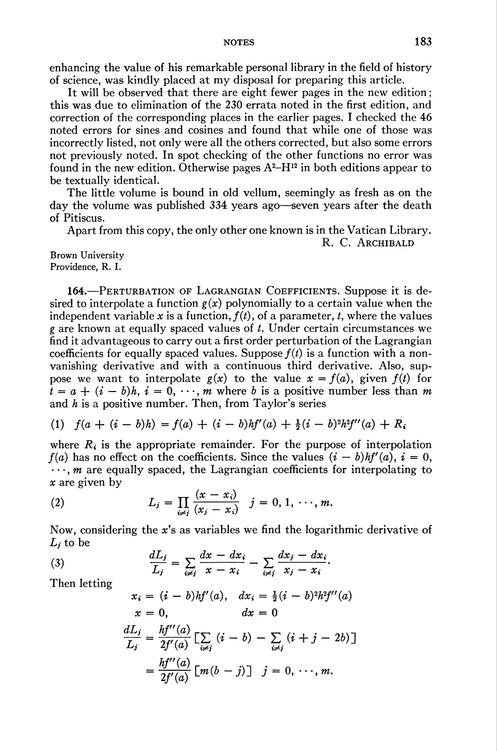enhancing the value of his remarkable personal library in the field of history of science, was kindly placed at my disposal for preparing this article.

It will be observed that there are eight fewer pages in the new edition ; this was due to elimination of the 230 errata noted in the first edition, and correction of the corresponding places in the earlier pages. I checked the 46 noted errors for sines and cosines and found that while one of those was incorrectly listed, not only were all the others corrected, but also some errors not previously noted. In spot checking of the other functions no error was found in the new edition. Otherwise pages  $A^2-H^{12}$  in both editions appear to be textually identical.

The little volume is bound in old vellum, seemingly as fresh as on the day the volume was published 334 years ago—seven years after the death of Pitiscus.

Apart from this copy, the only other one known is in the Vatican Library.

R. C. ARCHIBALD

Brown University Providence, R. I.

164.—Perturbation of Lagrangian Coefficients. Suppose it is desired to interpolate a function  $g(x)$  polynomially to a certain value when the independent variable x is a function,  $f(t)$ , of a parameter, t, where the values g are known at equally spaced values of  $t$ . Under certain circumstances we find it advantageous to carry out a first order perturbation of the Lagrangian coefficients for equally spaced values. Suppose  $f(t)$  is a function with a nonvanishing derivative and with a continuous third derivative. Also, suppose we want to interpolate  $g(x)$  to the value  $x = f(a)$ , given  $f(t)$  for  $t = a + (i - b)h$ ,  $i = 0, \dots, m$  where b is a positive number less than m and  $h$  is a positive number. Then, from Taylor's series

$$
(1) \quad f(a + (i - b)h) = f(a) + (i - b)hf'(a) + \frac{1}{2}(i - b)^2h^2f''(a) + R_i
$$

where  $R_i$  is the appropriate remainder. For the purpose of interpolation  $f(a)$  has no effect on the coefficients. Since the values  $(i - b)hf'(a)$ ,  $i = 0$ ,  $\cdots$ , *m* are equally spaced, the Lagrangian coefficients for interpolating to x are given by

(2) 
$$
L_j = \prod_{i \neq j} \frac{(x - x_i)}{(x_j - x_i)} \quad j = 0, 1, \dots, m.
$$

Now, considering the x's as variables we find the logarithmic derivative of  $L_i$  to be

(3) 
$$
\frac{dL_j}{L_j} = \sum_{i \neq j} \frac{dx - dx_i}{x - x_i} - \sum_{i \neq j} \frac{dx_j - dx_i}{x_j - x_i}.
$$

Then letting

$$
x_i = (i - b)hf'(a), dx_i = \frac{1}{2}(i - b)^2h^2f''(a)
$$
  
\n
$$
x = 0, dx = 0
$$
  
\n
$$
\frac{dL_j}{L_j} = \frac{hf''(a)}{2f'(a)} \left[ \sum_{i \neq j} (i - b) - \sum_{i \neq j} (i + j - 2b) \right]
$$
  
\n
$$
= \frac{hf''(a)}{2f'(a)} \left[ m(b - j) \right] j = 0, \dots, m.
$$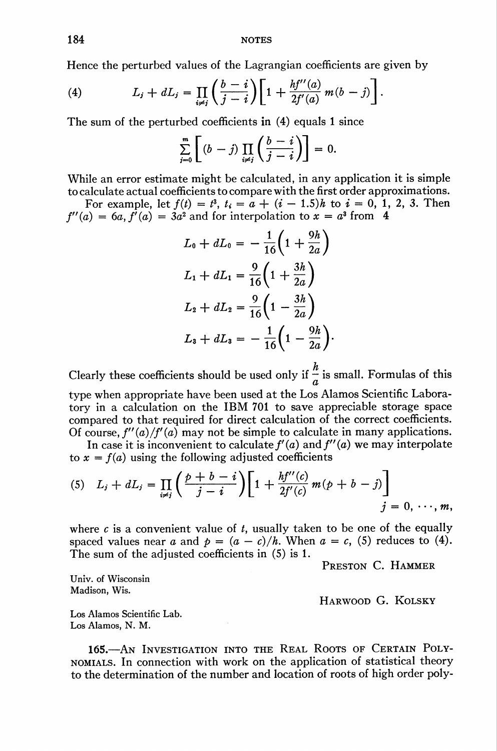Hence the perturbed values of the Lagrangian coefficients are given by

(4) 
$$
L_j + dL_j = \prod_{i \neq j} \left( \frac{b - i}{j - i} \right) \left[ 1 + \frac{hf''(a)}{2f'(a)} m(b - j) \right].
$$

The sum of the perturbed coefficients in (4) equals 1 since

$$
\sum_{j=0}^m \left[ (b-j) \prod_{i \neq j} \left( \frac{b-i}{j-i} \right) \right] = 0.
$$

While an error estimate might be calculated, in any application it is simple to calculate actual coefficients to compare with the first order approximations.

For example, let  $f(t) = t^3$ ,  $t_i = a + (i - 1.5)h$  to  $i = 0, 1, 2, 3$ . Then  $f''(a) = 6a$ ,  $f'(a) = 3a^2$  and for interpolation to  $x = a^3$  from 4

$$
L_0 + dL_0 = -\frac{1}{16} \left( 1 + \frac{9h}{2a} \right)
$$
  
\n
$$
L_1 + dL_1 = \frac{9}{16} \left( 1 + \frac{3h}{2a} \right)
$$
  
\n
$$
L_2 + dL_2 = \frac{9}{16} \left( 1 - \frac{3h}{2a} \right)
$$
  
\n
$$
L_3 + dL_3 = -\frac{1}{16} \left( 1 - \frac{9h}{2a} \right).
$$

Clearly these coefficients should be used only if  $\frac{h}{z}$  is small. Formulas of this type when appropriate have been used at the Los Alamos Scientific Labora-

tory in a calculation on the IBM 701 to save appreciable storage space compared to that required for direct calculation of the correct coefficients. Of course,  $f''(a)/f'(a)$  may not be simple to calculate in many applications.

In case it is inconvenient to calculate  $f'(a)$  and  $f''(a)$  we may interpolate to  $x = f(a)$  using the following adjusted coefficients

(5) 
$$
L_j + dL_j = \prod_{i \neq j} \left( \frac{p+b-i}{j-i} \right) \left[ 1 + \frac{hf''(c)}{2f'(c)} m(p+b-j) \right]
$$
  
  $j = 0, \dots, m,$ 

where c is a convenient value of t, usually taken to be one of the equally spaced values near a and  $p = (a - c)/h$ . When  $a = c$ , (5) reduces to (4). The sum of the adjusted coefficients in (5) is 1.

Preston C. Hammer

Univ. of Wisconsin Madison, Wis.

Harwood G. Kolsky

Los Alamos Scientific Lab. Los Alamos, N. M.

165.—An Investigation into the Real Roots of Certain Polynomials. In connection with work on the application of statistical theory to the determination of the number and location of roots of high order poly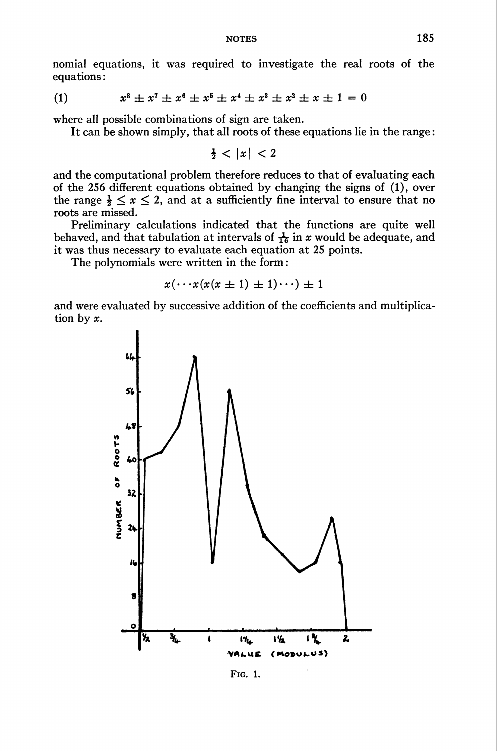nomial equations, it was required to investigate the real roots of the equations :

(1) 
$$
x^8 \pm x^7 \pm x^6 \pm x^5 \pm x^4 \pm x^3 \pm x^2 \pm x \pm 1 = 0
$$

where all possible combinations of sign are taken.

It can be shown simply, that all roots of these equations lie in the range :

 $\frac{1}{2}$  < |x| < 2

and the computational problem therefore reduces to that of evaluating each of the 256 different equations obtained by changing the signs of (1), over the range  $\frac{1}{2} \leq x \leq 2$ , and at a sufficiently fine interval to ensure that no roots are missed.

Preliminary calculations indicated that the functions are quite well behaved, and that tabulation at intervals of  $\frac{1}{16}$  in x would be adequate, and it was thus necessary to evaluate each equation at 25 points.

The polynomials were written in the form :

$$
x(\cdots x(x(x \pm 1) \pm 1)\cdots) \pm 1
$$

and were evaluated by successive addition of the coefficients and multiplication by x.



Fig. 1.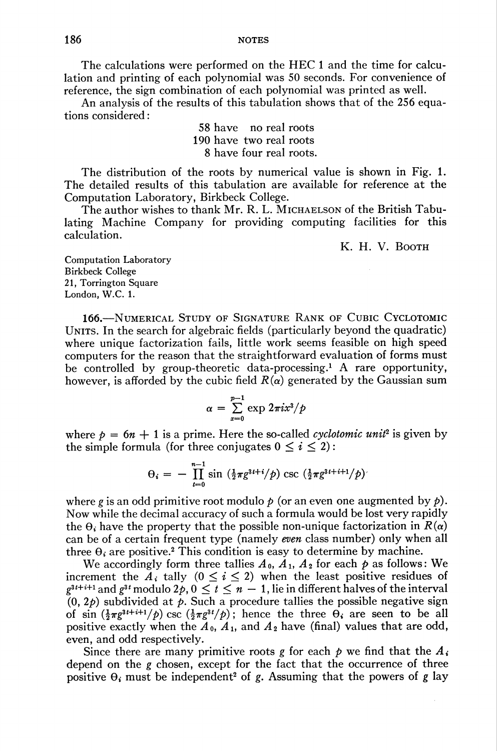The calculations were performed on the HEC 1 and the time for calculation and printing of each polynomial was 50 seconds. For convenience of reference, the sign combination of each polynomial was printed as well.

An analysis of the results of this tabulation shows that of the 256 equations considered :

> 58 have no real roots 190 have two real roots 8 have four real roots.

The distribution of the roots by numerical value is shown in Fig. 1. The detailed results of this tabulation are available for reference at the Computation Laboratory, Birkbeck College.

The author wishes to thank Mr. R. L. MICHAELSON of the British Tabulating Machine Company for providing computing facilities for this calculation.

K. H. V. Booth

Computation Laboratory Birkbeck College 21, Torrington Square London, W.C. 1.

166.—Numerical Study of Signature Rank of Cubic Cyclotomic UNITS. In the search for algebraic fields (particularly beyond the quadratic) where unique factorization fails, little work seems feasible on high speed computers for the reason that the straightforward evaluation of forms must be controlled by group-theoretic data-processing.1 A rare opportunity, however, is afforded by the cubic field  $R(\alpha)$  generated by the Gaussian sum

$$
\alpha = \sum_{x=0}^{p-1} \exp \frac{2\pi i x^3}{p}
$$

where  $p = 6n + 1$  is a prime. Here the so-called *cyclotomic unit*<sup>2</sup> is given by the simple formula (for three conjugates  $0 \leq i \leq 2$ ):

$$
\theta_i = - \prod_{t=0}^{n-1} \sin \left( \frac{1}{2} \pi g^{3t+i} / p \right) \csc \left( \frac{1}{2} \pi g^{3t+i+1} / p \right)
$$

where g is an odd primitive root modulo  $p$  (or an even one augmented by  $p$ ). Now while the decimal accuracy of such a formula would be lost very rapidly the  $\theta_i$  have the property that the possible non-unique factorization in  $R(\alpha)$ can be of a certain frequent type (namely even class number) only when all three  $\Theta_i$  are positive.<sup>2</sup> This condition is easy to determine by machine.

We accordingly form three tallies  $A_0$ ,  $A_1$ ,  $A_2$  for each  $\phi$  as follows: We increment the  $A_i$  tally  $(0 \le i \le 2)$  when the least positive residues of  $g^{3t+i+1}$  and  $g^{3t}$  modulo  $2p, 0 \le t \le n-1$ , lie in different halves of the interval  $(0, 2*b*)$  subdivided at *. Such a procedure tallies the possible negative sign* of sin  $(\frac{1}{2}\pi g^{3t+i+1}/\rho)$  csc  $(\frac{1}{2}\pi g^{3t}/\rho)$ ; hence the three  $\theta_i$  are seen to be all positive exactly when the  $A_0$ ,  $A_1$ , and  $A_2$  have (final) values that are odd, even, and odd respectively.

Since there are many primitive roots g for each  $\phi$  we find that the  $A_i$ depend on the g chosen, except for the fact that the occurrence of three positive  $\theta_i$  must be independent<sup>2</sup> of g. Assuming that the powers of g lay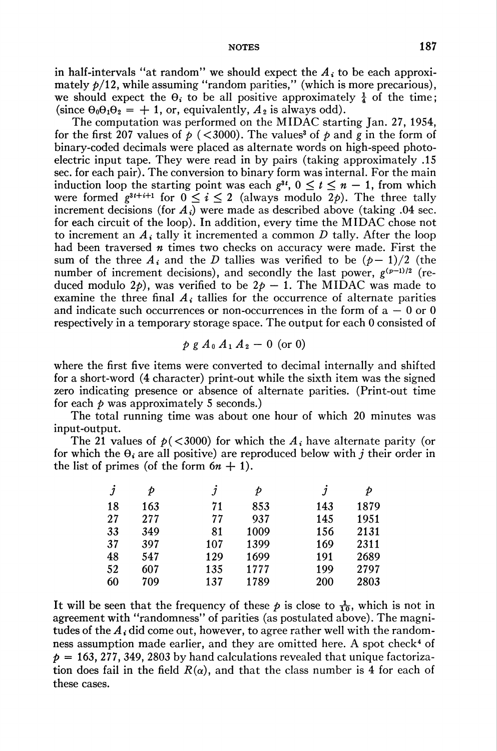in half-intervals "at random" we should expect the  $A_i$  to be each approximately  $p/12$ , while assuming "random parities," (which is more precarious), we should expect the  $\theta_i$  to be all positive approximately  $\frac{1}{4}$  of the time; (since  $\theta_0 \theta_1 \theta_2 = +1$ , or, equivalently,  $A_2$  is always odd).

The computation was performed on the MIDAC starting Jan. 27, 1954, for the first 207 values of  $p \leq 3000$ . The values<sup>3</sup> of p and g in the form of binary-coded decimals were placed as alternate words on high-speed photoelectric input tape. They were read in by pairs (taking approximately .15 sec. for each pair). The conversion to binary form was internal. For the main induction loop the starting point was each  $g^{3t}$ ,  $0 \le t \le n - 1$ , from which were formed  $g^{3t+i+1}$  for  $0 \le i \le 2$  (always modulo  $2p$ ). The three tally increment decisions (for  $A_i$ ) were made as described above (taking .04 sec. for each circuit of the loop). In addition, every time the MIDAC chose not to increment an  $A_i$  tally it incremented a common D tally. After the loop had been traversed  $n$  times two checks on accuracy were made. First the sum of the three  $A_i$  and the D tallies was verified to be  $(p-1)/2$  (the number of increment decisions), and secondly the last power,  $g^{(p-1)/2}$  (reduced modulo 2p), was verified to be  $2p - 1$ . The MIDAC was made to examine the three final  $A_i$  tallies for the occurrence of alternate parities and indicate such occurrences or non-occurrences in the form of  $a - 0$  or 0 respectively in a temporary storage space. The output for each 0 consisted of

$$
p \, g \, A_0 \, A_1 \, A_2 \, - \, 0
$$
 (or 0)

where the first five items were converted to decimal internally and shifted for a short-word (4 character) print-out while the sixth item was the signed zero indicating presence or absence of alternate parities. (Print-out time for each  $\phi$  was approximately 5 seconds.)

The total running time was about one hour of which 20 minutes was input-output.

The 21 values of  $p(<3000)$  for which the  $A_i$  have alternate parity (or for which the  $\theta_i$  are all positive) are reproduced below with j their order in the list of primes (of the form  $6n + 1$ ).

| j  | Þ   | 1   | Þ    | J   | Þ    |
|----|-----|-----|------|-----|------|
| 18 | 163 | 71  | 853  | 143 | 1879 |
| 27 | 277 | 77  | 937  | 145 | 1951 |
| 33 | 349 | 81  | 1009 | 156 | 2131 |
| 37 | 397 | 107 | 1399 | 169 | 2311 |
| 48 | 547 | 129 | 1699 | 191 | 2689 |
| 52 | 607 | 135 | 1777 | 199 | 2797 |
| 60 | 709 | 137 | 1789 | 200 | 2803 |

It will be seen that the frequency of these  $p$  is close to  $\frac{1}{10}$ , which is not in agreement with "randomness" of parities (as postulated above). The magnitudes of the  $A_i$  did come out, however, to agree rather well with the randomness assumption made earlier, and they are omitted here. A spot check<sup>4</sup> of  $p = 163, 277, 349, 2803$  by hand calculations revealed that unique factorization does fail in the field  $R(\alpha)$ , and that the class number is 4 for each of these cases.